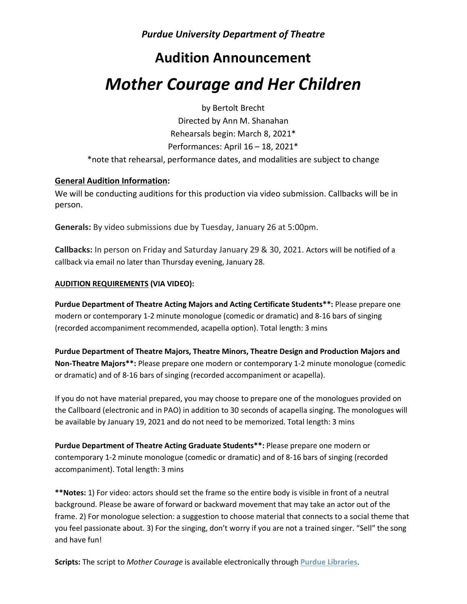## **Audition Announcement**

# *Mother Courage and Her Children*

by Bertolt Brecht

Directed by Ann M. Shanahan Rehearsals begin: March 8, 2021\* Performances: April 16 – 18, 2021\*

\*note that rehearsal, performance dates, and modalities are subject to change

#### **General Audition Information:**

We will be conducting auditions for this production via video submission. Callbacks will be in person.

**Generals:** By video submissions due by Tuesday, January 26 at 5:00pm.

**Callbacks:** In person on Friday and Saturday January 29 & 30, 2021. Actors will be notified of a callback via email no later than Thursday evening, January 28.

#### **AUDITION REQUIREMENTS (VIA VIDEO):**

**Purdue Department of Theatre Acting Majors and Acting Certificate Students\*\*:** Please prepare one modern or contemporary 1-2 minute monologue (comedic or dramatic) and 8-16 bars of singing (recorded accompaniment recommended, acapella option). Total length: 3 mins

**Purdue Department of Theatre Majors, Theatre Minors, Theatre Design and Production Majors and Non-Theatre Majors\*\*:** Please prepare one modern or contemporary 1-2 minute monologue (comedic or dramatic) and of 8-16 bars of singing (recorded accompaniment or acapella).

If you do not have material prepared, you may choose to prepare one of the monologues provided on the Callboard (electronic and in PAO) in addition to 30 seconds of acapella singing. The monologues will be available by January 19, 2021 and do not need to be memorized. Total length: 3 mins

**Purdue Department of Theatre Acting Graduate Students\*\*:** Please prepare one modern or contemporary 1-2 minute monologue (comedic or dramatic) and of 8-16 bars of singing (recorded accompaniment). Total length: 3 mins

**\*\*Notes:** 1) For video: actors should set the frame so the entire body is visible in front of a neutral background. Please be aware of forward or backward movement that may take an actor out of the frame. 2) For monologue selection: a suggestion to choose material that connects to a social theme that you feel passionate about. 3) For the singing, don't worry if you are not a trained singer. "Sell" the song and have fun!

**Scripts:** The script to *Mother Courage* is available electronically through **[Purdue Libraries](https://maillinks.purdue.edu/t/40609494/1566007444/85456570/0/1004088/?x=2e4031f1)**.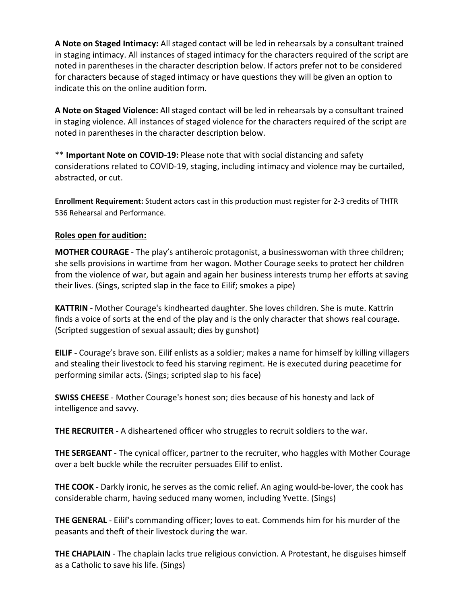**A Note on Staged Intimacy:** All staged contact will be led in rehearsals by a consultant trained in staging intimacy. All instances of staged intimacy for the characters required of the script are noted in parentheses in the character description below. If actors prefer not to be considered for characters because of staged intimacy or have questions they will be given an option to indicate this on the online audition form.

**A Note on Staged Violence:** All staged contact will be led in rehearsals by a consultant trained in staging violence. All instances of staged violence for the characters required of the script are noted in parentheses in the character description below.

\*\* **Important Note on COVID-19:** Please note that with social distancing and safety considerations related to COVID-19, staging, including intimacy and violence may be curtailed, abstracted, or cut.

**Enrollment Requirement:** Student actors cast in this production must register for 2-3 credits of THTR 536 Rehearsal and Performance.

### **Roles open for audition:**

**MOTHER COURAGE** - The play's antiheroic protagonist, a businesswoman with three children; she sells provisions in wartime from her wagon. Mother Courage seeks to protect her children from the violence of war, but again and again her business interests trump her efforts at saving their lives. (Sings, scripted slap in the face to Eilif; smokes a pipe)

**KATTRIN -** Mother Courage's kindhearted daughter. She loves children. She is mute. Kattrin finds a voice of sorts at the end of the play and is the only character that shows real courage. (Scripted suggestion of sexual assault; dies by gunshot)

**EILIF -** Courage's brave son. Eilif enlists as a soldier; makes a name for himself by killing villagers and stealing their livestock to feed his starving regiment. He is executed during peacetime for performing similar acts. (Sings; scripted slap to his face)

**SWISS CHEESE** - Mother Courage's honest son; dies because of his honesty and lack of intelligence and savvy.

**THE RECRUITER** - A disheartened officer who struggles to recruit soldiers to the war.

**THE SERGEANT** - The cynical officer, partner to the recruiter, who haggles with Mother Courage over a belt buckle while the recruiter persuades Eilif to enlist.

**THE COOK** - Darkly ironic, he serves as the comic relief. An aging would-be-lover, the cook has considerable charm, having seduced many women, including Yvette. (Sings)

**THE GENERAL** - Eilif's commanding officer; loves to eat. Commends him for his murder of the peasants and theft of their livestock during the war.

**THE CHAPLAIN** - The chaplain lacks true religious conviction. A Protestant, he disguises himself as a Catholic to save his life. (Sings)